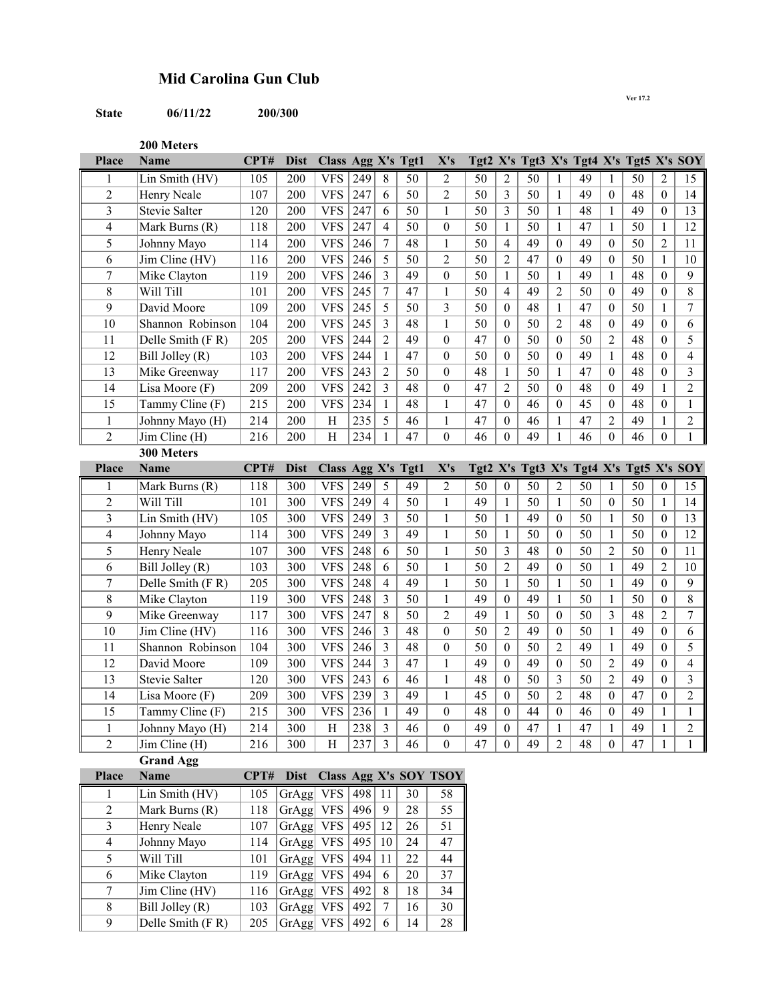## **Mid Carolina Gun Club**

## **State 06/11/22 200/300**

**Ver 17.2**

**200 Meters**

| Place                   | <b>Name</b>                        | CPT#       | <b>Dist</b>       | Class Agg X's Tgt1       |            |                         |                 | X's                                  |            |                                    |          |                              |          |                   | Tgt2 X's Tgt3 X's Tgt4 X's Tgt5 X's SOY |                  |                |
|-------------------------|------------------------------------|------------|-------------------|--------------------------|------------|-------------------------|-----------------|--------------------------------------|------------|------------------------------------|----------|------------------------------|----------|-------------------|-----------------------------------------|------------------|----------------|
|                         | Lin Smith (HV)                     | 105        | 200               | <b>VFS</b>               | 249        | 8                       | 50              | 2                                    | 50         | 2                                  | 50       | 1                            | 49       | 1                 | 50                                      | 2                | 15             |
| $\overline{c}$          | Henry Neale                        | 107        | 200               | <b>VFS</b>               | 247        | 6                       | 50              | $\overline{c}$                       | 50         | $\overline{3}$                     | 50       | $\mathbf{1}$                 | 49       | $\theta$          | 48                                      | $\theta$         | 14             |
| $\overline{\mathbf{3}}$ | Stevie Salter                      | 120        | 200               | <b>VFS</b>               | 247        | 6                       | 50              | 1                                    | 50         | $\overline{3}$                     | 50       | $\mathbf{1}$                 | 48       | 1                 | 49                                      | $\theta$         | 13             |
| 4                       | Mark Burns (R)                     | 118        | 200               | <b>VFS</b>               | 247        | 4                       | 50              | $\mathbf{0}$                         | 50         | 1                                  | 50       | 1                            | 47       | 1                 | 50                                      | 1                | 12             |
| 5                       | Johnny Mayo                        | 114        | 200               | <b>VFS</b>               | 246        | $\tau$                  | 48              | 1                                    | 50         | $\overline{4}$                     | 49       | $\boldsymbol{0}$             | 49       | $\theta$          | 50                                      | $\overline{2}$   | 11             |
| 6                       | Jim Cline (HV)                     | 116        | 200               | <b>VFS</b>               | 246        | 5                       | 50              | $\overline{2}$                       | 50         | $\overline{2}$                     | 47       | $\boldsymbol{0}$             | 49       | $\mathbf{0}$      | 50                                      | $\mathbf{1}$     | 10             |
| $\overline{7}$          | Mike Clayton                       | 119        | 200               | <b>VFS</b>               | 246        | $\overline{3}$          | 49              | $\boldsymbol{0}$                     | 50         | $\mathbf{1}$                       | 50       | $\mathbf{1}$                 | 49       | $\mathbf{1}$      | 48                                      | $\theta$         | 9              |
| 8                       | Will Till                          | 101        | 200               | <b>VFS</b>               | 245        | $\tau$                  | 47              | 1                                    | 50         | $\overline{4}$                     | 49       | $\overline{c}$               | 50       | $\boldsymbol{0}$  | 49                                      | $\theta$         | 8              |
| 9                       | David Moore                        | 109        | 200               | <b>VFS</b>               | 245        | 5                       | 50              | 3                                    | 50         | $\boldsymbol{0}$                   | 48       | $\mathbf{1}$                 | 47       | $\boldsymbol{0}$  | 50                                      | 1                | $\overline{7}$ |
| 10                      | Shannon Robinson                   | 104        | 200               | <b>VFS</b>               | 245        | 3                       | 48              | $\mathbf{1}$                         | 50         | $\boldsymbol{0}$                   | 50       | $\overline{2}$               | 48       | $\mathbf{0}$      | 49                                      | $\theta$         | 6              |
| 11                      | Delle Smith (FR)                   | 205        | 200               | <b>VFS</b>               | 244        | $\overline{2}$          | 49              | $\boldsymbol{0}$                     | 47         | $\boldsymbol{0}$                   | 50       | $\boldsymbol{0}$             | 50       | $\overline{2}$    | 48                                      | $\theta$         | $\overline{5}$ |
| 12                      | Bill Jolley (R)                    | 103        | 200               | <b>VFS</b>               | 244        | 1                       | 47              | $\mathbf{0}$                         | 50         | $\theta$                           | 50       | $\boldsymbol{0}$             | 49       | $\mathbf{1}$      | 48                                      | $\theta$         | 4              |
| 13                      | Mike Greenway                      | 117        | 200               | <b>VFS</b>               | 243        | $\overline{2}$          | 50              | $\boldsymbol{0}$                     | 48         | $\mathbf{1}$                       | 50       | 1                            | 47       | $\theta$          | 48                                      | $\boldsymbol{0}$ | 3              |
| 14                      | Lisa Moore (F)                     | 209        | 200               | <b>VFS</b>               | 242        | 3                       | 48              | $\boldsymbol{0}$                     | 47         | $\overline{2}$                     | 50       | $\theta$                     | 48       | $\mathbf{0}$      | 49                                      | 1                | $\overline{c}$ |
| 15                      | Tammy Cline (F)                    | 215        | 200               | <b>VFS</b>               | 234        | $\mathbf{1}$            | 48              | 1                                    | 47         | $\boldsymbol{0}$                   | 46       | $\mathbf{0}$                 | 45       | $\theta$          | 48                                      | $\theta$         | $\mathbf{1}$   |
| $\mathbf{1}$            | Johnny Mayo (H)                    | 214        | 200               | H                        | 235        | 5                       | 46              | 1                                    | 47         | $\theta$                           | 46       | $\mathbf{1}$                 | 47       | 2                 | 49                                      | 1                | $\overline{2}$ |
| $\overline{2}$          | Jim Cline (H)                      | 216        | 200               | H                        | 234        | 1                       | 47              | $\boldsymbol{0}$                     | 46         | $\boldsymbol{0}$                   | 49       | $\mathbf{1}$                 | 46       | $\theta$          | 46                                      | $\theta$         | $\,1$          |
|                         | 300 Meters                         |            |                   |                          |            |                         |                 |                                      |            |                                    |          |                              |          |                   |                                         |                  |                |
| Place                   | <b>Name</b>                        | CPT#       | <b>Dist</b>       | Class Agg X's            |            |                         | Tgt1            | X's                                  | Tgt2 $X's$ |                                    |          |                              |          |                   | Tgt3 X's Tgt4 X's Tgt5 X's SOY          |                  |                |
|                         | Mark Burns (R)                     | 118        | 300               | <b>VFS</b>               | 249        | 5                       | 49              | $\overline{2}$                       | 50         | $\boldsymbol{0}$                   | 50       | $\overline{c}$               | 50       | 1                 | 50                                      | $\boldsymbol{0}$ | 15             |
| $\overline{c}$          | Will Till                          | 101        | 300               | <b>VFS</b>               | 249        | $\overline{4}$          | 50              | 1                                    | 49         | $\mathbf{1}$                       | 50       | $\mathbf{1}$                 | 50       | $\boldsymbol{0}$  | 50                                      | $\mathbf{1}$     | 14             |
| $\overline{\mathbf{3}}$ | Lin Smith (HV)                     | 105        | 300               | <b>VFS</b>               | 249        | 3                       | 50              | 1                                    | 50         | $\mathbf{1}$                       | 49       | $\theta$                     | 50       | $\mathbf{1}$      | 50                                      | $\theta$         | 13             |
| 4                       | Johnny Mayo                        | 114        | 300               | <b>VFS</b>               | 249        | 3                       | 49              | 1                                    | 50         | 1                                  | 50       | $\theta$                     | 50       | $\mathbf{1}$      | 50                                      | $\theta$         | 12             |
| 5                       | Henry Neale                        | 107        | 300               | <b>VFS</b>               | 248        | 6                       | $\overline{50}$ | 1                                    | 50         | 3                                  | 48       | $\boldsymbol{0}$             | 50       | $\overline{2}$    | 50                                      | $\theta$         | 11             |
| 6                       | $\overline{Bill}$ Jolley (R)       | 103        | 300               | <b>VFS</b>               | 248        | 6                       | 50              | $\mathbf{1}$                         | 50         | $\overline{c}$                     | 49       | $\boldsymbol{0}$             | 50       | $\mathbf{1}$      | 49                                      | $\overline{2}$   | 10             |
| $\sqrt{ }$              | Delle Smith (FR)                   | 205        | 300               | <b>VFS</b>               | 248        | $\overline{4}$          | 49              | 1                                    | 50         | $\mathbf{1}$                       | 50       | 1                            | 50       | $\mathbf{1}$      | 49                                      | $\theta$         | 9              |
| 8                       | Mike Clayton                       | 119        | 300               | <b>VFS</b>               | 248        | 3                       | 50              | 1                                    | 49         | $\theta$                           | 49       | 1                            | 50       | $\mathbf{1}$      | 50                                      | $\theta$         | 8              |
| 9<br>10                 | Mike Greenway                      | 117<br>116 | 300               | <b>VFS</b>               | 247<br>246 | 8<br>$\overline{3}$     | 50<br>48        | $\overline{2}$                       | 49<br>50   | 1                                  | 50<br>49 | $\boldsymbol{0}$<br>$\theta$ | 50<br>50 | 3                 | 48<br>49                                | 2<br>$\theta$    | $\overline{7}$ |
| 11                      | Jim Cline (HV)<br>Shannon Robinson | 104        | 300<br>300        | <b>VFS</b><br><b>VFS</b> | 246        | 3                       | 48              | $\boldsymbol{0}$<br>$\boldsymbol{0}$ | 50         | $\overline{2}$<br>$\boldsymbol{0}$ | 50       | $\overline{2}$               | 49       | 1<br>$\mathbf{1}$ | 49                                      | $\theta$         | 6<br>5         |
| 12                      | David Moore                        | 109        | 300               | <b>VFS</b>               | 244        | 3                       | 47              | 1                                    | 49         | $\theta$                           | 49       | $\theta$                     | 50       | $\overline{2}$    | 49                                      | $\theta$         | 4              |
| 13                      | Stevie Salter                      | 120        | 300               | <b>VFS</b>               | 243        | 6                       | 46              | 1                                    | 48         | $\mathbf{0}$                       | 50       | 3                            | 50       | $\overline{2}$    | 49                                      | $\theta$         | 3              |
| 14                      | Lisa Moore (F)                     | 209        | 300               | <b>VFS</b>               | 239        | 3                       | 49              | 1                                    | 45         | $\boldsymbol{0}$                   | 50       | $\overline{c}$               | 48       | $\mathbf{0}$      | 47                                      | $\theta$         | $\overline{c}$ |
| 15                      | Tammy Cline (F)                    | 215        | 300               | <b>VFS</b>               | 236        | $\mathbf{1}$            | 49              | $\theta$                             | 48         | $\theta$                           | 44       | $\theta$                     | 46       | $\theta$          | 49                                      | 1                | 1              |
| 1                       | Johnny Mayo (H)                    | 214        | 300               | H                        | 238        | $\overline{\mathbf{3}}$ | 46              | $\boldsymbol{0}$                     | 49         | $\boldsymbol{0}$                   | 47       | $\mathbf{1}$                 | 47       | $\mathbf{1}$      | 49                                      | 1                | $\overline{2}$ |
| $\overline{2}$          | Jim Cline (H)                      | 216        | 300               | H                        | 237        | $\overline{3}$          | 46              | $\boldsymbol{0}$                     | 47         | $\overline{0}$                     | 49       | $\overline{2}$               | 48       | $\boldsymbol{0}$  | 47                                      | $\mathbf{1}$     | $\mathbf{1}$   |
|                         | <b>Grand Agg</b>                   |            |                   |                          |            |                         |                 |                                      |            |                                    |          |                              |          |                   |                                         |                  |                |
| Place                   | <b>Name</b>                        | CPT#       | <b>Dist</b>       |                          |            |                         |                 | Class Agg X's SOY TSOY               |            |                                    |          |                              |          |                   |                                         |                  |                |
| 1                       | Lin Smith (HV)                     | 105        | GrAgg             | <b>VFS</b>               | $498$   11 |                         | 30              | 58                                   |            |                                    |          |                              |          |                   |                                         |                  |                |
| $\boldsymbol{2}$        | Mark Burns (R)                     | 118        | GrAgg             | <b>VFS</b>               | 496        | 9                       | 28              | 55                                   |            |                                    |          |                              |          |                   |                                         |                  |                |
| $\overline{3}$          | Henry Neale                        | 107        | GrAgg VFS         |                          | 495        | 12                      | 26              | $\overline{51}$                      |            |                                    |          |                              |          |                   |                                         |                  |                |
| 4                       | Johnny Mayo                        | 114        | GrAgg VFS         |                          | 495        | 10                      | 24              | 47                                   |            |                                    |          |                              |          |                   |                                         |                  |                |
| 5                       | Will Till                          | 101        | GrAgg VFS         |                          | 494        | 11                      | 22              | 44                                   |            |                                    |          |                              |          |                   |                                         |                  |                |
| 6                       | Mike Clayton                       | 119        | GrAgg VFS         |                          | 494        | 6                       | 20              | 37                                   |            |                                    |          |                              |          |                   |                                         |                  |                |
| $\boldsymbol{7}$        | Jim Cline (HV)                     | 116        | GrAgg VFS         |                          | 492        | $\,8\,$                 | 18              | 34                                   |            |                                    |          |                              |          |                   |                                         |                  |                |
| $\,8\,$                 | Bill Jolley $(R)$                  | 103        | GrAgg VFS         |                          | 492        | $\boldsymbol{7}$        | 16              | 30                                   |            |                                    |          |                              |          |                   |                                         |                  |                |
| 9                       | Delle Smith (FR)                   | 205        | GrAgg VFS $ 492 $ |                          |            | 6                       | 14              | $28\,$                               |            |                                    |          |                              |          |                   |                                         |                  |                |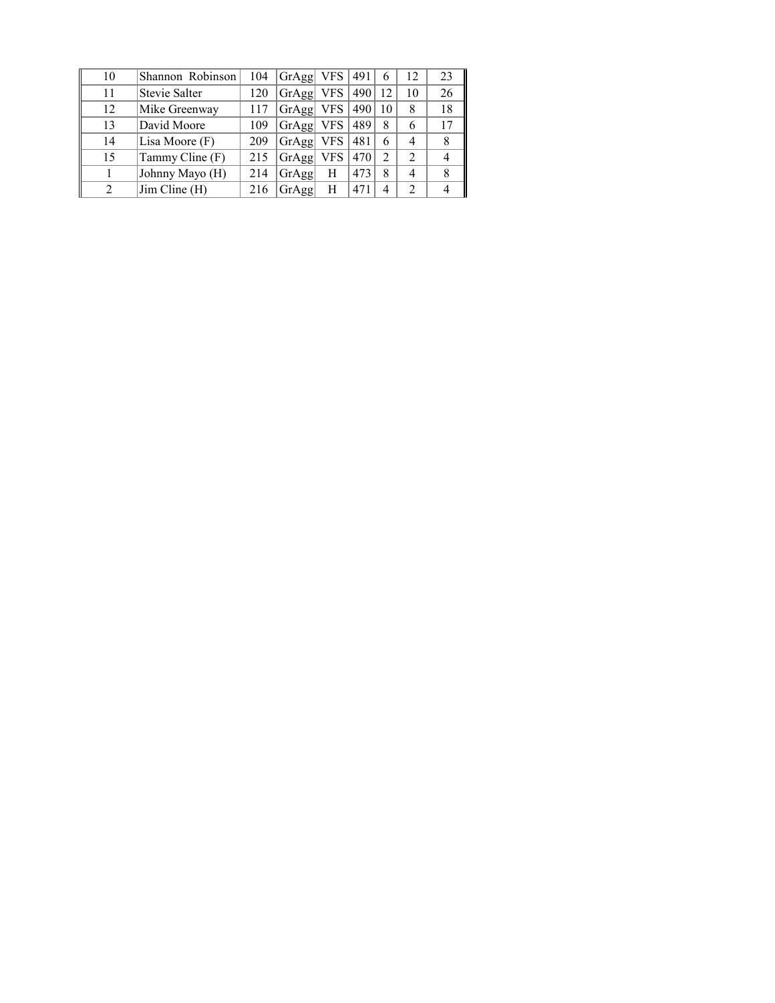| 10 | Shannon Robinson | 104 | GrAgg | VFS.       | 491 | 6  | 12 | 23 |
|----|------------------|-----|-------|------------|-----|----|----|----|
| 11 | Stevie Salter    | 120 | GrAgg | <b>VFS</b> | 490 | 12 | 10 | 26 |
| 12 | Mike Greenway    | 117 | GrAgg | <b>VFS</b> | 490 | 10 | 8  | 18 |
| 13 | David Moore      | 109 | GrAgg | <b>VFS</b> | 489 | 8  | 6  |    |
| 14 | Lisa Moore (F)   | 209 | GrAgg | <b>VFS</b> | 481 | 6  | 4  |    |
| 15 | Tammy Cline (F)  | 215 | GrAgg | <b>VFS</b> | 470 | 2  | 2  |    |
|    | Johnny Mayo (H)  | 214 | GrAgg | Н          | 473 | 8  | 4  |    |
|    | Jim Cline (H)    | 216 | GrAgg | Н          | 471 |    | 2  |    |